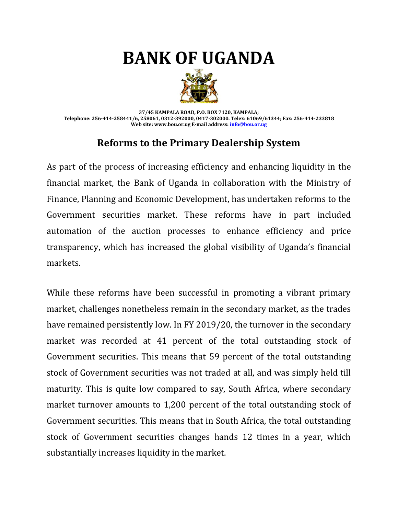## **BANK OF UGANDA**



**37/45 KAMPALA ROAD, P.O. BOX 7120, KAMPALA; Telephone: 256-414-258441/6, 258061, 0312-392000, 0417-302000. Telex: 61069/61344; Fax: 256-414-233818 Web site: www.bou.or.ug E-mail address[: info@bou.or.ug](mailto:info@bou.or.ug)**

## **Reforms to the Primary Dealership System**

As part of the process of increasing efficiency and enhancing liquidity in the financial market, the Bank of Uganda in collaboration with the Ministry of Finance, Planning and Economic Development, has undertaken reforms to the Government securities market. These reforms have in part included automation of the auction processes to enhance efficiency and price transparency, which has increased the global visibility of Uganda's financial markets.

While these reforms have been successful in promoting a vibrant primary market, challenges nonetheless remain in the secondary market, as the trades have remained persistently low. In FY 2019/20, the turnover in the secondary market was recorded at 41 percent of the total outstanding stock of Government securities. This means that 59 percent of the total outstanding stock of Government securities was not traded at all, and was simply held till maturity. This is quite low compared to say, South Africa, where secondary market turnover amounts to 1,200 percent of the total outstanding stock of Government securities. This means that in South Africa, the total outstanding stock of Government securities changes hands 12 times in a year, which substantially increases liquidity in the market.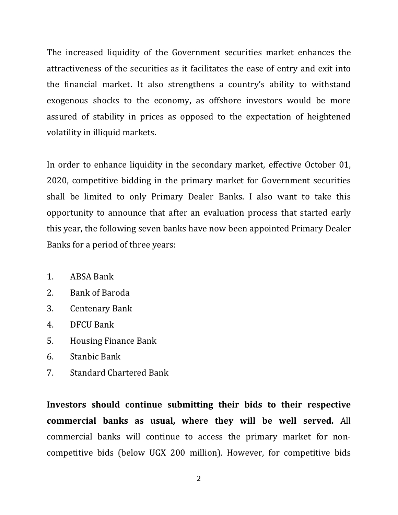The increased liquidity of the Government securities market enhances the attractiveness of the securities as it facilitates the ease of entry and exit into the financial market. It also strengthens a country's ability to withstand exogenous shocks to the economy, as offshore investors would be more assured of stability in prices as opposed to the expectation of heightened volatility in illiquid markets.

In order to enhance liquidity in the secondary market, effective October 01, 2020, competitive bidding in the primary market for Government securities shall be limited to only Primary Dealer Banks. I also want to take this opportunity to announce that after an evaluation process that started early this year, the following seven banks have now been appointed Primary Dealer Banks for a period of three years:

- 1. ABSA Bank
- 2. Bank of Baroda
- 3. Centenary Bank
- 4. DFCU Bank
- 5. Housing Finance Bank
- 6. Stanbic Bank
- 7. Standard Chartered Bank

**Investors should continue submitting their bids to their respective commercial banks as usual, where they will be well served.** All commercial banks will continue to access the primary market for noncompetitive bids (below UGX 200 million). However, for competitive bids